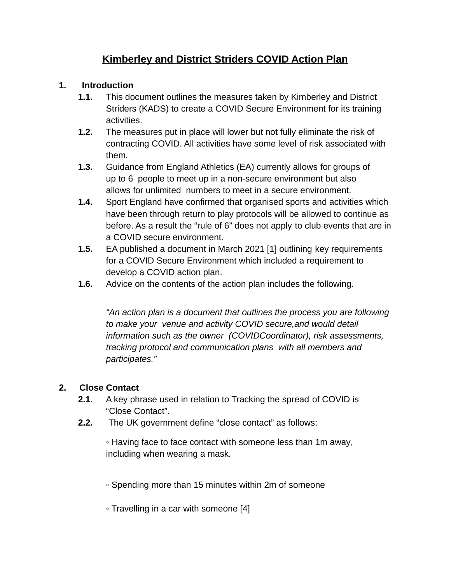# **Kimberley and District Striders COVID Action Plan**

#### **1. Introduction**

- **1.1.** This document outlines the measures taken by Kimberley and District Striders (KADS) to create a COVID Secure Environment for its training activities.
- **1.2.** The measures put in place will lower but not fully eliminate the risk of contracting COVID. All activities have some level of risk associated with them.
- **1.3.** Guidance from England Athletics (EA) currently allows for groups of up to 6 people to meet up in a non-secure environment but also allows for unlimited numbers to meet in a secure environment.
- **1.4.** Sport England have confirmed that organised sports and activities which have been through return to play protocols will be allowed to continue as before. As a result the "rule of 6" does not apply to club events that are in a COVID secure environment.
- **1.5.** EA published a document in March 2021 [1] outlining key requirements for a COVID Secure Environment which included a requirement to develop a COVID action plan.
- **1.6.** Advice on the contents of the action plan includes the following.

*"An action plan is a document that outlines the process you are following to make your venue and activity COVID secure,and would detail information such as the owner (COVIDCoordinator), risk assessments, tracking protocol and communication plans with all members and participates."*

## **2. Close Contact**

- **2.1.** A key phrase used in relation to Tracking the spread of COVID is "Close Contact".
- **2.2.** The UK government define "close contact" as follows:

◦ Having face to face contact with someone less than 1m away, including when wearing a mask.

- Spending more than 15 minutes within 2m of someone
- Travelling in a car with someone [4]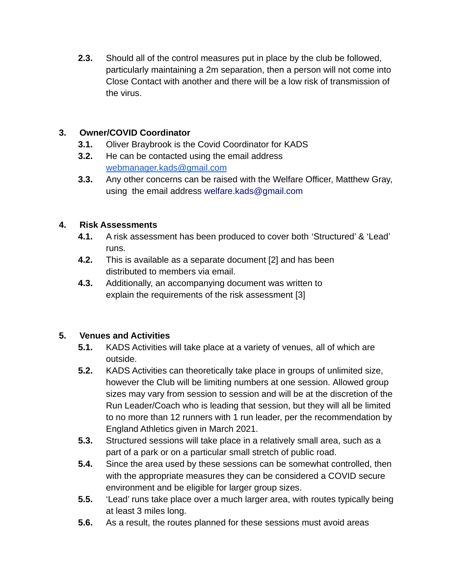**2.3.** Should all of the control measures put in place by the club be followed, particularly maintaining a 2m separation, then a person will not come into Close Contact with another and there will be a low risk of transmission of the virus.

#### **3. Owner/COVID Coordinator**

- **3.1.** Oliver Braybrook is the Covid Coordinator for KADS
- **3.2.** He can be contacted using the email address [webmanager.kads@gmail.com](mailto:webmanager.kads@gmail.com)
- **3.3.** Any other concerns can be raised with the Welfare Officer, Matthew Gray, using the email address welfare.kads@gmail.com

#### **4. Risk Assessments**

- **4.1.** A risk assessment has been produced to cover both 'Structured' & 'Lead' runs.
- **4.2.** This is available as a separate document [2] and has been distributed to members via email.
- **4.3.** Additionally, an accompanying document was written to explain the requirements of the risk assessment [3]

## **5. Venues and Activities**

- **5.1.** KADS Activities will take place at a variety of venues, all of which are outside.
- **5.2.** KADS Activities can theoretically take place in groups of unlimited size, however the Club will be limiting numbers at one session. Allowed group sizes may vary from session to session and will be at the discretion of the Run Leader/Coach who is leading that session, but they will all be limited to no more than 12 runners with 1 run leader, per the recommendation by England Athletics given in March 2021.
- **5.3.** Structured sessions will take place in a relatively small area, such as a part of a park or on a particular small stretch of public road.
- **5.4.** Since the area used by these sessions can be somewhat controlled, then with the appropriate measures they can be considered a COVID secure environment and be eligible for larger group sizes.
- **5.5.** 'Lead' runs take place over a much larger area, with routes typically being at least 3 miles long.
- **5.6.** As a result, the routes planned for these sessions must avoid areas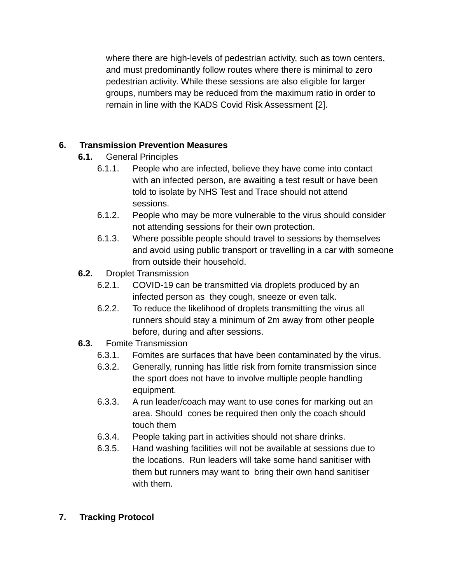where there are high-levels of pedestrian activity, such as town centers, and must predominantly follow routes where there is minimal to zero pedestrian activity. While these sessions are also eligible for larger groups, numbers may be reduced from the maximum ratio in order to remain in line with the KADS Covid Risk Assessment [2].

## **6. Transmission Prevention Measures**

**6.1.** General Principles

- 6.1.1. People who are infected, believe they have come into contact with an infected person, are awaiting a test result or have been told to isolate by NHS Test and Trace should not attend sessions.
- 6.1.2. People who may be more vulnerable to the virus should consider not attending sessions for their own protection.
- 6.1.3. Where possible people should travel to sessions by themselves and avoid using public transport or travelling in a car with someone from outside their household.
- **6.2.** Droplet Transmission
	- 6.2.1. COVID-19 can be transmitted via droplets produced by an infected person as they cough, sneeze or even talk.
	- 6.2.2. To reduce the likelihood of droplets transmitting the virus all runners should stay a minimum of 2m away from other people before, during and after sessions.
- **6.3.** Fomite Transmission
	- 6.3.1. Fomites are surfaces that have been contaminated by the virus.
	- 6.3.2. Generally, running has little risk from fomite transmission since the sport does not have to involve multiple people handling equipment.
	- 6.3.3. A run leader/coach may want to use cones for marking out an area. Should cones be required then only the coach should touch them
	- 6.3.4. People taking part in activities should not share drinks.
	- 6.3.5. Hand washing facilities will not be available at sessions due to the locations. Run leaders will take some hand sanitiser with them but runners may want to bring their own hand sanitiser with them.
- **7. Tracking Protocol**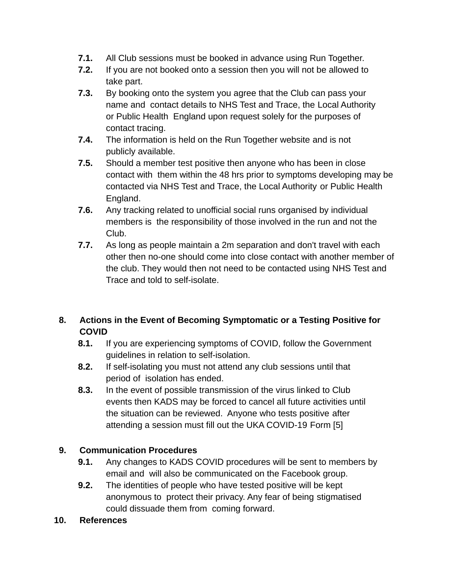- **7.1.** All Club sessions must be booked in advance using Run Together.
- **7.2.** If you are not booked onto a session then you will not be allowed to take part.
- **7.3.** By booking onto the system you agree that the Club can pass your name and contact details to NHS Test and Trace, the Local Authority or Public Health England upon request solely for the purposes of contact tracing.
- **7.4.** The information is held on the Run Together website and is not publicly available.
- **7.5.** Should a member test positive then anyone who has been in close contact with them within the 48 hrs prior to symptoms developing may be contacted via NHS Test and Trace, the Local Authority or Public Health England.
- **7.6.** Any tracking related to unofficial social runs organised by individual members is the responsibility of those involved in the run and not the Club.
- **7.7.** As long as people maintain a 2m separation and don't travel with each other then no-one should come into close contact with another member of the club. They would then not need to be contacted using NHS Test and Trace and told to self-isolate.

# **8. Actions in the Event of Becoming Symptomatic or a Testing Positive for COVID**

- **8.1.** If you are experiencing symptoms of COVID, follow the Government guidelines in relation to self-isolation.
- **8.2.** If self-isolating you must not attend any club sessions until that period of isolation has ended.
- **8.3.** In the event of possible transmission of the virus linked to Club events then KADS may be forced to cancel all future activities until the situation can be reviewed. Anyone who tests positive after attending a session must fill out the UKA COVID-19 Form [5]

## **9. Communication Procedures**

- **9.1.** Any changes to KADS COVID procedures will be sent to members by email and will also be communicated on the Facebook group.
- **9.2.** The identities of people who have tested positive will be kept anonymous to protect their privacy. Any fear of being stigmatised could dissuade them from coming forward.

#### **10. References**